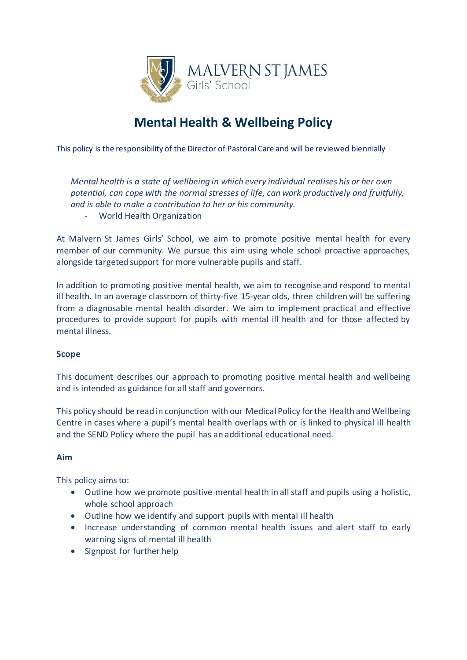

# **Mental Health & Wellbeing Policy**

This policy is the responsibility of the Director of Pastoral Care and will be reviewed biennially

*Mental health is a state of wellbeing in which every individual realises his or her own potential, can cope with the normal stresses of life, can work productively and fruitfully, and is able to make a contribution to her or his community.*

- World Health Organization

At Malvern St James Girls' School, we aim to promote positive mental health for every member of our community. We pursue this aim using whole school proactive approaches, alongside targeted support for more vulnerable pupils and staff.

In addition to promoting positive mental health, we aim to recognise and respond to mental ill health. In an average classroom of thirty-five 15-year olds, three children will be suffering from a diagnosable mental health disorder. We aim to implement practical and effective procedures to provide support for pupils with mental ill health and for those affected by mental illness.

# **Scope**

This document describes our approach to promoting positive mental health and wellbeing and is intended as guidance for all staff and governors.

This policy should be read in conjunction with our Medical Policy for the Health and Wellbeing Centre in cases where a pupil's mental health overlaps with or is linked to physical ill health and the SEND Policy where the pupil has an additional educational need.

# **Aim**

This policy aims to:

- Outline how we promote positive mental health in all staff and pupils using a holistic, whole school approach
- Outline how we identify and support pupils with mental ill health
- Increase understanding of common mental health issues and alert staff to early warning signs of mental ill health
- Signpost for further help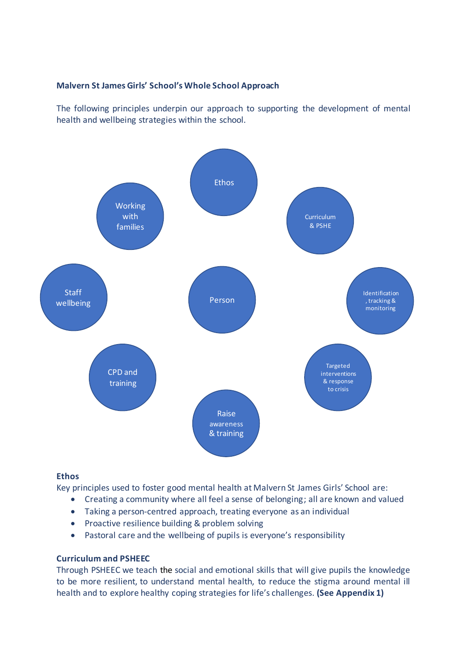## **Malvern St James Girls' School's Whole School Approach**

The following principles underpin our approach to supporting the development of mental health and wellbeing strategies within the school.



#### **Ethos**

Key principles used to foster good mental health at Malvern St James Girls' School are:

- Creating a community where all feel a sense of belonging; all are known and valued
- Taking a person-centred approach, treating everyone as an individual
- Proactive resilience building & problem solving
- Pastoral care and the wellbeing of pupils is everyone's responsibility

#### **Curriculum and PSHEEC**

Through PSHEEC we teach the social and emotional skills that will give pupils the knowledge to be more resilient, to understand mental health, to reduce the stigma around mental ill health and to explore healthy coping strategies for life's challenges. **(See Appendix 1)**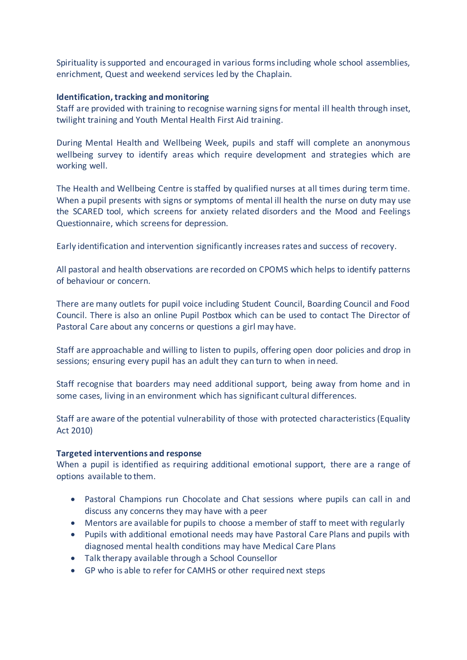Spirituality is supported and encouraged in various forms including whole school assemblies, enrichment, Quest and weekend services led by the Chaplain.

#### **Identification, tracking and monitoring**

Staff are provided with training to recognise warning signs for mental ill health through inset, twilight training and Youth Mental Health First Aid training.

During Mental Health and Wellbeing Week, pupils and staff will complete an anonymous wellbeing survey to identify areas which require development and strategies which are working well.

The Health and Wellbeing Centre is staffed by qualified nurses at all times during term time. When a pupil presents with signs or symptoms of mental ill health the nurse on duty may use the SCARED tool, which screens for anxiety related disorders and the Mood and Feelings Questionnaire, which screens for depression.

Early identification and intervention significantly increasesrates and success of recovery.

All pastoral and health observations are recorded on CPOMS which helps to identify patterns of behaviour or concern.

There are many outlets for pupil voice including Student Council, Boarding Council and Food Council. There is also an online Pupil Postbox which can be used to contact The Director of Pastoral Care about any concerns or questions a girl may have.

Staff are approachable and willing to listen to pupils, offering open door policies and drop in sessions; ensuring every pupil has an adult they can turn to when in need.

Staff recognise that boarders may need additional support, being away from home and in some cases, living in an environment which has significant cultural differences.

Staff are aware of the potential vulnerability of those with protected characteristics (Equality Act 2010)

# **Targeted interventions and response**

When a pupil is identified as requiring additional emotional support, there are a range of options available to them.

- Pastoral Champions run Chocolate and Chat sessions where pupils can call in and discuss any concerns they may have with a peer
- Mentors are available for pupils to choose a member of staff to meet with regularly
- Pupils with additional emotional needs may have Pastoral Care Plans and pupils with diagnosed mental health conditions may have Medical Care Plans
- Talk therapy available through a School Counsellor
- GP who is able to refer for CAMHS or other required next steps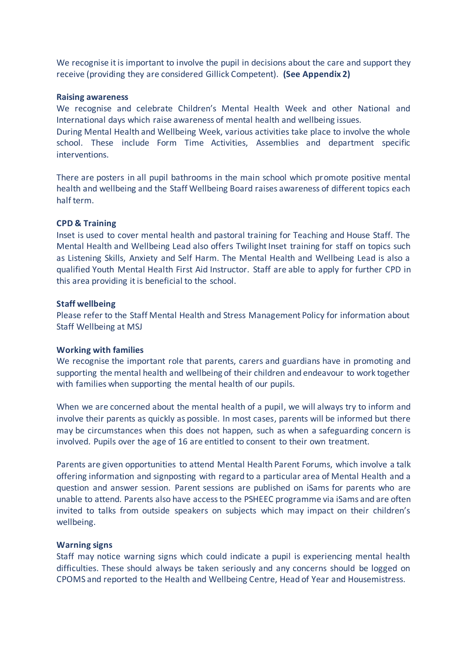We recognise it is important to involve the pupil in decisions about the care and support they receive (providing they are considered Gillick Competent). **(See Appendix 2)**

#### **Raising awareness**

We recognise and celebrate Children's Mental Health Week and other National and International days which raise awareness of mental health and wellbeing issues.

During Mental Health and Wellbeing Week, various activities take place to involve the whole school. These include Form Time Activities, Assemblies and department specific interventions.

There are posters in all pupil bathrooms in the main school which promote positive mental health and wellbeing and the Staff Wellbeing Board raises awareness of different topics each half term.

#### **CPD & Training**

Inset is used to cover mental health and pastoral training for Teaching and House Staff. The Mental Health and Wellbeing Lead also offers Twilight Inset training for staff on topics such as Listening Skills, Anxiety and Self Harm. The Mental Health and Wellbeing Lead is also a qualified Youth Mental Health First Aid Instructor. Staff are able to apply for further CPD in this area providing it is beneficial to the school.

#### **Staff wellbeing**

Please refer to the Staff Mental Health and Stress Management Policy for information about Staff Wellbeing at MSJ

#### **Working with families**

We recognise the important role that parents, carers and guardians have in promoting and supporting the mental health and wellbeing of their children and endeavour to work together with families when supporting the mental health of our pupils.

When we are concerned about the mental health of a pupil, we will always try to inform and involve their parents as quickly as possible. In most cases, parents will be informed but there may be circumstances when this does not happen, such as when a safeguarding concern is involved. Pupils over the age of 16 are entitled to consent to their own treatment.

Parents are given opportunities to attend Mental Health Parent Forums, which involve a talk offering information and signposting with regard to a particular area of Mental Health and a question and answer session. Parent sessions are published on iSams for parents who are unable to attend. Parents also have access to the PSHEEC programme via iSams and are often invited to talks from outside speakers on subjects which may impact on their children's wellbeing.

#### **Warning signs**

Staff may notice warning signs which could indicate a pupil is experiencing mental health difficulties. These should always be taken seriously and any concerns should be logged on CPOMS and reported to the Health and Wellbeing Centre, Head of Year and Housemistress.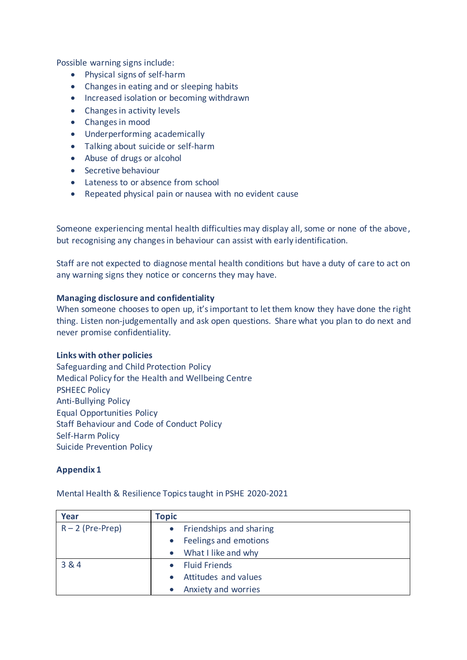Possible warning signs include:

- Physical signs of self-harm
- Changes in eating and or sleeping habits
- Increased isolation or becoming withdrawn
- Changes in activity levels
- Changes in mood
- Underperforming academically
- Talking about suicide or self-harm
- Abuse of drugs or alcohol
- Secretive behaviour
- Lateness to or absence from school
- Repeated physical pain or nausea with no evident cause

Someone experiencing mental health difficulties may display all, some or none of the above, but recognising any changes in behaviour can assist with early identification.

Staff are not expected to diagnose mental health conditions but have a duty of care to act on any warning signs they notice or concerns they may have.

## **Managing disclosure and confidentiality**

When someone chooses to open up, it's important to let them know they have done the right thing. Listen non-judgementally and ask open questions. Share what you plan to do next and never promise confidentiality.

# **Links with other policies**

Safeguarding and Child Protection Policy Medical Policy for the Health and Wellbeing Centre PSHEEC Policy Anti-Bullying Policy Equal Opportunities Policy Staff Behaviour and Code of Conduct Policy Self-Harm Policy Suicide Prevention Policy

# **Appendix 1**

Mental Health & Resilience Topics taught in PSHE 2020-2021

| Year               | <b>Topic</b> |                           |
|--------------------|--------------|---------------------------|
| $R - 2$ (Pre-Prep) |              | • Friendships and sharing |
|                    | $\bullet$    | Feelings and emotions     |
|                    | $\bullet$    | What I like and why       |
| 3 & 4              | $\bullet$    | <b>Fluid Friends</b>      |
|                    | $\bullet$    | Attitudes and values      |
|                    | $\bullet$    | Anxiety and worries       |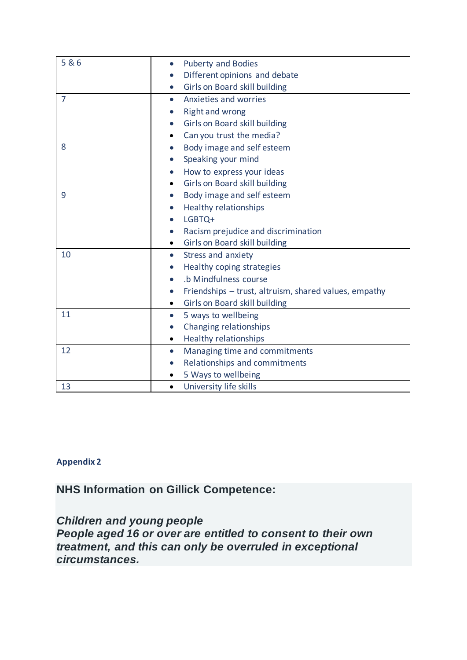| 5&6            | <b>Puberty and Bodies</b><br>$\bullet$                             |
|----------------|--------------------------------------------------------------------|
|                | Different opinions and debate                                      |
|                | Girls on Board skill building<br>$\bullet$                         |
| $\overline{7}$ | Anxieties and worries<br>$\bullet$                                 |
|                | <b>Right and wrong</b><br>$\bullet$                                |
|                | Girls on Board skill building<br>$\bullet$                         |
|                | Can you trust the media?<br>$\bullet$                              |
| 8              | Body image and self esteem<br>$\bullet$                            |
|                | Speaking your mind                                                 |
|                | How to express your ideas<br>$\bullet$                             |
|                | Girls on Board skill building<br>$\bullet$                         |
| 9              | Body image and self esteem<br>$\bullet$                            |
|                | <b>Healthy relationships</b>                                       |
|                | LGBTQ+<br>$\bullet$                                                |
|                | Racism prejudice and discrimination<br>$\bullet$                   |
|                | Girls on Board skill building<br>$\bullet$                         |
| 10             | Stress and anxiety<br>$\bullet$                                    |
|                | Healthy coping strategies                                          |
|                | .b Mindfulness course<br>$\bullet$                                 |
|                | Friendships - trust, altruism, shared values, empathy<br>$\bullet$ |
|                | Girls on Board skill building                                      |
| 11             | 5 ways to wellbeing<br>$\bullet$                                   |
|                | Changing relationships<br>$\bullet$                                |
|                | <b>Healthy relationships</b>                                       |
| 12             | Managing time and commitments<br>$\bullet$                         |
|                | Relationships and commitments<br>$\bullet$                         |
|                | 5 Ways to wellbeing                                                |
| 13             | University life skills<br>$\bullet$                                |

# **Appendix 2**

**NHS Information on Gillick Competence:**

*Children and young people People aged 16 or over are entitled to consent to their own treatment, and this can only be overruled in exceptional circumstances.*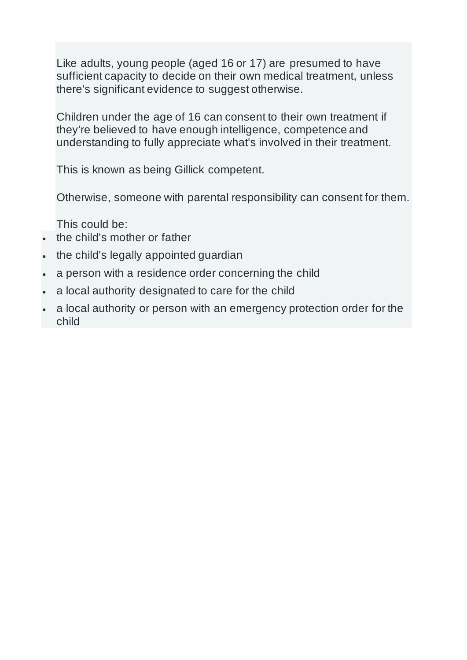Like adults, young people (aged 16 or 17) are presumed to have sufficient capacity to decide on their own medical treatment, unless there's significant evidence to suggest otherwise.

Children under the age of 16 can consent to their own treatment if they're believed to have enough intelligence, competence and understanding to fully appreciate what's involved in their treatment.

This is known as being Gillick competent.

Otherwise, someone with parental responsibility can consent for them.

This could be:

- the child's mother or father
- the child's legally appointed guardian
- a person with a residence order concerning the child
- a local authority designated to care for the child
- a local authority or person with an emergency protection order for the child